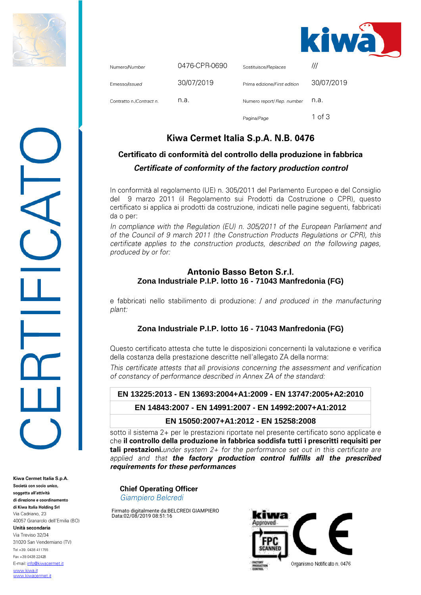



| Numero/Number            | 0476-CPR-0690 | Sostituisce/Replaces         | ///        |
|--------------------------|---------------|------------------------------|------------|
| Emesso/Issued            | 30/07/2019    | Prima edizione/First edition | 30/07/2019 |
| Contratto n./Contract n. | n.a.          | Numero report/ Rep. number   | n.a.       |
|                          |               | Pagina/Page                  | 1 of 3     |

## Kiwa Cermet Italia S.p.A. N.B. 0476

# Certificato di conformità del controllo della produzione in fabbrica Certificate of conformity of the factory production control

In conformità al regolamento (UE) n. 305/2011 del Parlamento Europeo e del Consiglio del 9 marzo 2011 (il Regolamento sui Prodotti da Costruzione o CPR), questo certificato si applica ai prodotti da costruzione, indicati nelle pagine seguenti, fabbricati da o per:

In compliance with the Regulation (EU) n. 305/2011 of the European Parliament and of the Council of 9 march 2011 (the Construction Products Regulations or CPR), this certificate applies to the construction products, described on the following pages, produced by or for:

#### **Antonio Basso Beton S.r.I. Zona Industriale P.I.P. lotto 16 - 71043 Manfredonia (FG)**

e fabbricati nello stabilimento di produzione: / and produced in the manufacturing plant:

### **Zona Industriale P.I.P. lotto 16 - 71043 Manfredonia (FG)**

Questo certificato attesta che tutte le disposizioni concernenti la valutazione e verifica della costanza della prestazione descritte nell'allegato ZA della norma:

This certificate attests that all provisions concerning the assessment and verification of constancy of performance described in Annex ZA of the standard:

#### **EN 13225:2013 - EN 13693:2004+A1:2009 - EN 13747:2005+A2:2010**

**EN 14843:2007 - EN 14991:2007 - EN 14992:2007+A1:2012**

### **EN 15050:2007+A1:2012 - EN 15258:2008**

sotto il sistema 2+ per le prestazioni riportate nel presente certificato sono applicate e che il controllo della produzione in fabbrica soddisfa tutti i prescritti requisiti per **tali prestazioni.** under system  $2+$  for the performance set out in this certificate are applied and that the factory production control fulfills all the prescribed requirements for these performances

**Chief Operating Officer** Giampiero Belcredi

Firmato digitalmente da:BELCREDI GIAMPIERO Data:02/08/2019 08:51:16



Kiwa Cermet Italia S.p.A. Società con socio unico. soggetta all'attività di direzione e coordinamento di Kiwa Italia Holding Srl Via Cadriano, 23 40057 Granarolo dell'Emilia (BO) Unità secondaria Via Treviso 32/34 31020 San Vendemiano (TV) Tel +39, 0438 411755 Fax +39 0438 22428 E-mail: info@kiwacermet.it www.kiwa.it www.kiwacermet.it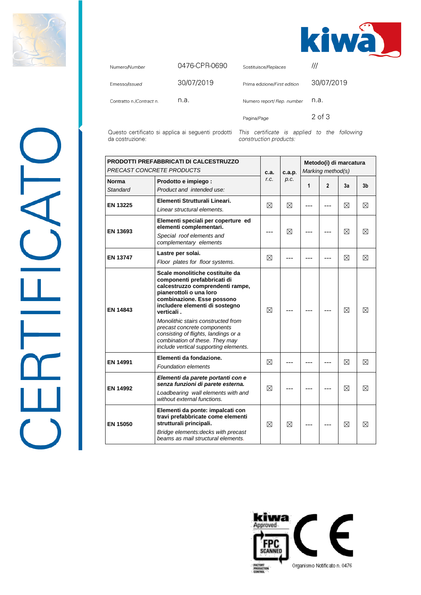

 $\frac{1}{\sqrt{2}}$ 



| Numero/Number            | 0476-CPR-0690 | Sostituisce/Replaces         |            |
|--------------------------|---------------|------------------------------|------------|
| Emesso/Issued            | 30/07/2019    | Prima edizione/First edition | 30/07/2019 |
| Contratto n./Contract n. | n.a.          | Numero report/ Rep. number   | n.a.       |
|                          |               | Pagina/Page                  | 2 of 3     |

Questo certificato si applica ai seguenti prodotti This certificate is applied to the following da costruzione:

construction products:

| <b>PRODOTTI PREFABBRICATI DI CALCESTRUZZO</b><br>PRECAST CONCRETE PRODUCTS |                                                                                                                                                                                                                                                                                                                                                                                                     | c.a.        | c.a.p. | Metodo(i) di marcatura<br>Marking method(s) |              |             |             |
|----------------------------------------------------------------------------|-----------------------------------------------------------------------------------------------------------------------------------------------------------------------------------------------------------------------------------------------------------------------------------------------------------------------------------------------------------------------------------------------------|-------------|--------|---------------------------------------------|--------------|-------------|-------------|
| <b>Norma</b><br><b>Standard</b>                                            | Prodotto e impiego :<br>Product and intended use:                                                                                                                                                                                                                                                                                                                                                   | r.c.        | p.c.   | 1                                           | $\mathbf{2}$ | 3a          | 3b          |
| <b>EN 13225</b>                                                            | Elementi Strutturali Lineari.<br>Linear structural elements.                                                                                                                                                                                                                                                                                                                                        | ⊠           | ⊠      |                                             |              | ⊠           | ⊠           |
| EN 13693                                                                   | Elementi speciali per coperture ed<br>elementi complementari.<br>Special roof elements and<br>complementary elements                                                                                                                                                                                                                                                                                | ---         | ⊠      |                                             |              | ⊠           | ⊠           |
| <b>EN 13747</b>                                                            | Lastre per solai.<br>Floor plates for floor systems.                                                                                                                                                                                                                                                                                                                                                | ⊠           |        |                                             |              | ⊠           | ⊠           |
| EN 14843                                                                   | Scale monolitiche costituite da<br>componenti prefabbricati di<br>calcestruzzo comprendenti rampe,<br>pianerottoli o una loro<br>combinazione. Esse possono<br>includere elementi di sostegno<br>verticali.<br>Monolithic stairs constructed from<br>precast concrete components<br>consisting of flights, landings or a<br>combination of these. They may<br>include vertical supporting elements. | ⊠           |        |                                             |              | ⊠           | $\boxtimes$ |
| <b>EN 14991</b>                                                            | Elementi da fondazione.<br><b>Foundation elements</b>                                                                                                                                                                                                                                                                                                                                               | $\boxtimes$ |        |                                             |              | $\boxtimes$ | $\boxtimes$ |
| EN 14992                                                                   | Elementi da parete portanti con e<br>senza funzioni di parete esterna.<br>Loadbearing wall elements with and<br>without external functions.                                                                                                                                                                                                                                                         | ⊠           |        |                                             |              | ⊠           | ⊠           |
| <b>EN 15050</b>                                                            | Elementi da ponte: impalcati con<br>travi prefabbricate come elementi<br>strutturali principali.<br>Bridge elements: decks with precast<br>beams as mail structural elements.                                                                                                                                                                                                                       | ⊠           | ⊠      |                                             |              | ⊠           | ⊠           |